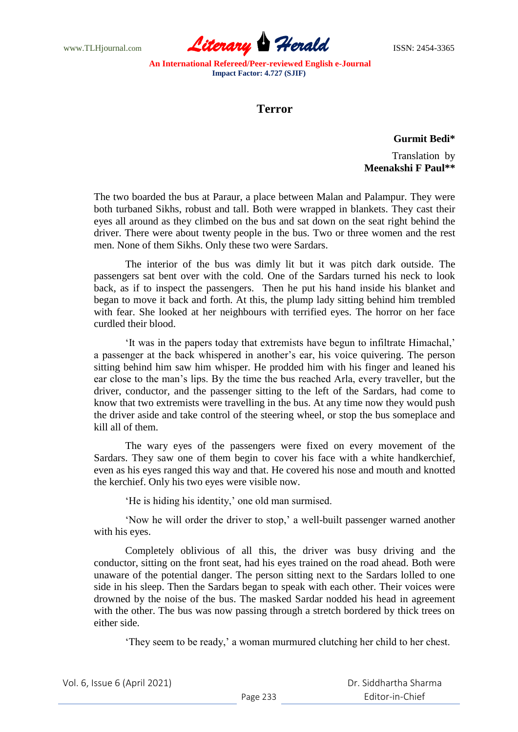www.TLHjournal.com **Literary Herald ISSN: 2454-3365** 

**An International Refereed/Peer-reviewed English e-Journal Impact Factor: 4.727 (SJIF)**

# **Terror**

**Gurmit Bedi\***

Translation by **Meenakshi F Paul\*\***

The two boarded the bus at Paraur, a place between Malan and Palampur. They were both turbaned Sikhs, robust and tall. Both were wrapped in blankets. They cast their eyes all around as they climbed on the bus and sat down on the seat right behind the driver. There were about twenty people in the bus. Two or three women and the rest men. None of them Sikhs. Only these two were Sardars.

The interior of the bus was dimly lit but it was pitch dark outside. The passengers sat bent over with the cold. One of the Sardars turned his neck to look back, as if to inspect the passengers. Then he put his hand inside his blanket and began to move it back and forth. At this, the plump lady sitting behind him trembled with fear. She looked at her neighbours with terrified eyes. The horror on her face curdled their blood.

"It was in the papers today that extremists have begun to infiltrate Himachal," a passenger at the back whispered in another"s ear, his voice quivering. The person sitting behind him saw him whisper. He prodded him with his finger and leaned his ear close to the man"s lips. By the time the bus reached Arla, every traveller, but the driver, conductor, and the passenger sitting to the left of the Sardars, had come to know that two extremists were travelling in the bus. At any time now they would push the driver aside and take control of the steering wheel, or stop the bus someplace and kill all of them.

The wary eyes of the passengers were fixed on every movement of the Sardars. They saw one of them begin to cover his face with a white handkerchief, even as his eyes ranged this way and that. He covered his nose and mouth and knotted the kerchief. Only his two eyes were visible now.

'He is hiding his identity,' one old man surmised.

"Now he will order the driver to stop," a well-built passenger warned another with his eyes.

Completely oblivious of all this, the driver was busy driving and the conductor, sitting on the front seat, had his eyes trained on the road ahead. Both were unaware of the potential danger. The person sitting next to the Sardars lolled to one side in his sleep. Then the Sardars began to speak with each other. Their voices were drowned by the noise of the bus. The masked Sardar nodded his head in agreement with the other. The bus was now passing through a stretch bordered by thick trees on either side.

"They seem to be ready," a woman murmured clutching her child to her chest.

 Dr. Siddhartha Sharma Editor-in-Chief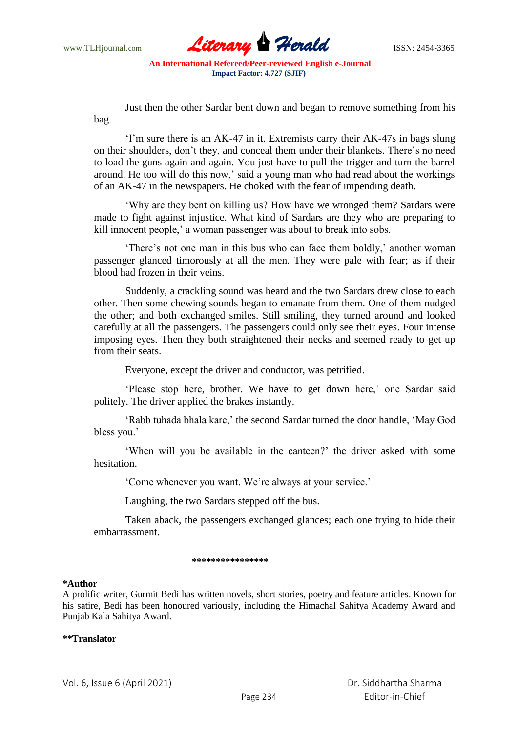

**An International Refereed/Peer-reviewed English e-Journal Impact Factor: 4.727 (SJIF)**

Just then the other Sardar bent down and began to remove something from his bag.

"I"m sure there is an AK-47 in it. Extremists carry their AK-47s in bags slung on their shoulders, don"t they, and conceal them under their blankets. There"s no need to load the guns again and again. You just have to pull the trigger and turn the barrel around. He too will do this now,' said a young man who had read about the workings of an AK-47 in the newspapers. He choked with the fear of impending death.

"Why are they bent on killing us? How have we wronged them? Sardars were made to fight against injustice. What kind of Sardars are they who are preparing to kill innocent people,' a woman passenger was about to break into sobs.

"There's not one man in this bus who can face them boldly," another woman passenger glanced timorously at all the men. They were pale with fear; as if their blood had frozen in their veins.

Suddenly, a crackling sound was heard and the two Sardars drew close to each other. Then some chewing sounds began to emanate from them. One of them nudged the other; and both exchanged smiles. Still smiling, they turned around and looked carefully at all the passengers. The passengers could only see their eyes. Four intense imposing eyes. Then they both straightened their necks and seemed ready to get up from their seats.

Everyone, except the driver and conductor, was petrified.

'Please stop here, brother. We have to get down here,' one Sardar said politely. The driver applied the brakes instantly.

'Rabb tuhada bhala kare,' the second Sardar turned the door handle, 'May God bless you.'

"When will you be available in the canteen?" the driver asked with some hesitation.

'Come whenever you want. We're always at your service.'

Laughing, the two Sardars stepped off the bus.

Taken aback, the passengers exchanged glances; each one trying to hide their embarrassment.

#### \*\*\*\*\*\*\*\*\*\*\*\*\*\*\*

#### **\*Author**

A prolific writer, Gurmit Bedi has written novels, short stories, poetry and feature articles. Known for his satire, Bedi has been honoured variously, including the Himachal Sahitya Academy Award and Punjab Kala Sahitya Award.

### **\*\*Translator**

Vol. 6, Issue 6 (April 2021)